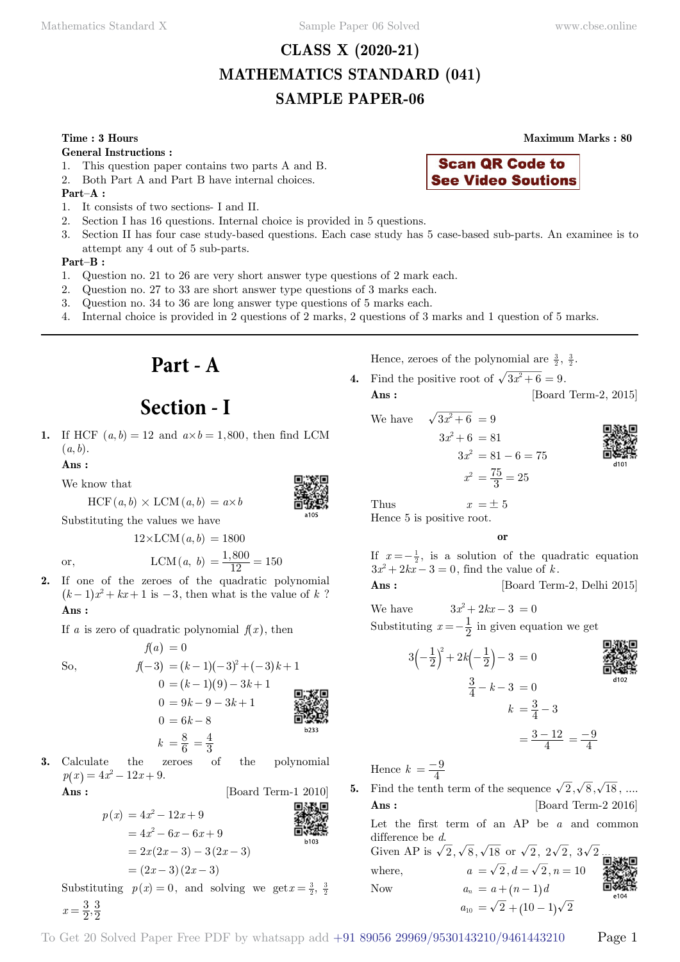## **CLASS X (2020-21) MATHEMATICS STANDARD (041) SAMPLE PAPER-06**

#### **Time : 3 Hours Maximum Marks : 80**

**General Instructions :**

- 1. This question paper contains two parts A and B.
- 2. Both Part A and Part B have internal choices.

#### **Part–A :**

- 1. It consists of two sections- I and II.
- 2. Section I has 16 questions. Internal choice is provided in 5 questions.
- 3. Section II has four case study-based questions. Each case study has 5 case-based sub-parts. An examinee is to attempt any 4 out of 5 sub-parts.

#### **Part–B :**

- 1. Question no. 21 to 26 are very short answer type questions of 2 mark each.
- 2. Question no. 27 to 33 are short answer type questions of 3 marks each.
- 3. Question no. 34 to 36 are long answer type questions of 5 marks each.
- 4. Internal choice is provided in 2 questions of 2 marks, 2 questions of 3 marks and 1 question of 5 marks.
	- **Part A**

# **Section - I**

**1.** If HCF  $(a, b) = 12$  and  $a \times b = 1,800$ , then find LCM  $(a, b)$ .

#### **Ans :**

We know that

$$
\begin{matrix} \mathbf{1} & \mathbf{1} & \mathbf{1} \\ \mathbf{1} & \mathbf{1} & \mathbf{1} \\ \mathbf{1} & \mathbf{1} & \mathbf{1} \\ \mathbf{1} & \mathbf{1} & \mathbf{1} \end{matrix}
$$

Substituting the values we have

$$
12 \times \text{LCM} (a, b) = 1800
$$

 $HCF(a, b) \times LCM(a, b) = a \times b$ 

$$
\quad \text{or,} \quad
$$

or, LCM(*a*, *b*)  $=$  $\frac{1,800}{12} = 150$ **2.** If one of the zeroes of the quadratic polynomial  $(k-1)x^2 + kx + 1$  is  $-3$ , then what is the value of *k* ?  **Ans :**

If *a* is zero of quadratic polynomial  $f(x)$ , then

 $f(a) = 0$ 

So,  
\n
$$
f(-3) = (k-1)(-3)^2 + (-3)k + 1
$$
\n
$$
0 = (k-1)(9) - 3k + 1
$$
\n
$$
0 = 9k - 9 - 3k + 1
$$
\n
$$
0 = 6k - 8
$$
\n
$$
k = \frac{8}{6} = \frac{4}{3}
$$

**3.** Calculate the zeroes of the polynomial  $p(x) = 4x^2 - 12x + 9.$ 

**Ans :** [Board Term-1 2010]

$$
p(x) = 4x^{2} - 12x + 9
$$
  
= 4x<sup>2</sup> - 6x - 6x + 9  
= 2x(2x - 3) - 3(2x - 3)  
= (2x - 3)(2x - 3)

Substituting  $p(x) = 0$ , and solving we get  $x = \frac{3}{2}$ ,  $\frac{3}{2}$  $x = \frac{3}{2}$  $=\frac{3}{2},\frac{3}{2}$ 

Hence, zeroes of the polynomial are  $\frac{3}{2}$ ,  $\frac{3}{2}$ .

**4.** Find the positive root of  $\sqrt{3x^2+6} = 9$ . **Ans :** [Board Term-2, 2015]

**Scan QR Code to See Video Soutions** 

We have 
$$
\sqrt{3x^2 + 6} = 9
$$

$$
3x + 6 = 9
$$
  

$$
3x2 + 6 = 81
$$
  

$$
3x2 = 81 - 6 = 75
$$
  

$$
x2 = \frac{75}{3} = 25
$$

$$
\begin{matrix}\n\mathbf{a} \\
\mathbf{b} \\
\mathbf{c} \\
\mathbf{c}\n\end{matrix}
$$

Thus  $x = \pm 5$ Hence 5 is positive root.

#### **o**

If  $x = -\frac{1}{2}$ , is a solution of the quadratic equation  $3x^{2} + 2kx - 3 = 0$ , find the value of *k*.

**Ans :** [Board Term-2, Delhi 2015]

We have  $3x^2 + 2kx - 3 = 0$ Substituting  $x = -\frac{1}{2}$  in given equation we get

$$
3\left(-\frac{1}{2}\right)^{2} + 2k\left(-\frac{1}{2}\right) - 3 = 0
$$
\n
$$
\frac{3}{4} - k - 3 = 0
$$
\n
$$
k = \frac{3}{4} - 3
$$
\n
$$
= \frac{3 - 12}{4} = \frac{-9}{4}
$$

Hence  $k = \frac{-9}{4}$ 

**5.** Find the tenth term of the sequence  $\sqrt{2}, \sqrt{8}, \sqrt{18}, \dots$ **Ans :** [Board Term-2 2016]

Let the first term of an AP be *a* and common difference be *d*. Given AP is  $\sqrt{2}, \sqrt{8}, \sqrt{18}$  or  $\sqrt{2}, 2\sqrt{2}, 3\sqrt{2}$ 

 $a_{10} = \sqrt{2} + (10-1)\sqrt{2}$ 

where,  $a = \sqrt{2}, d = \sqrt{2}, n = 10$ Now  $a_n = a + (n - 1) d$ 

 $- - -$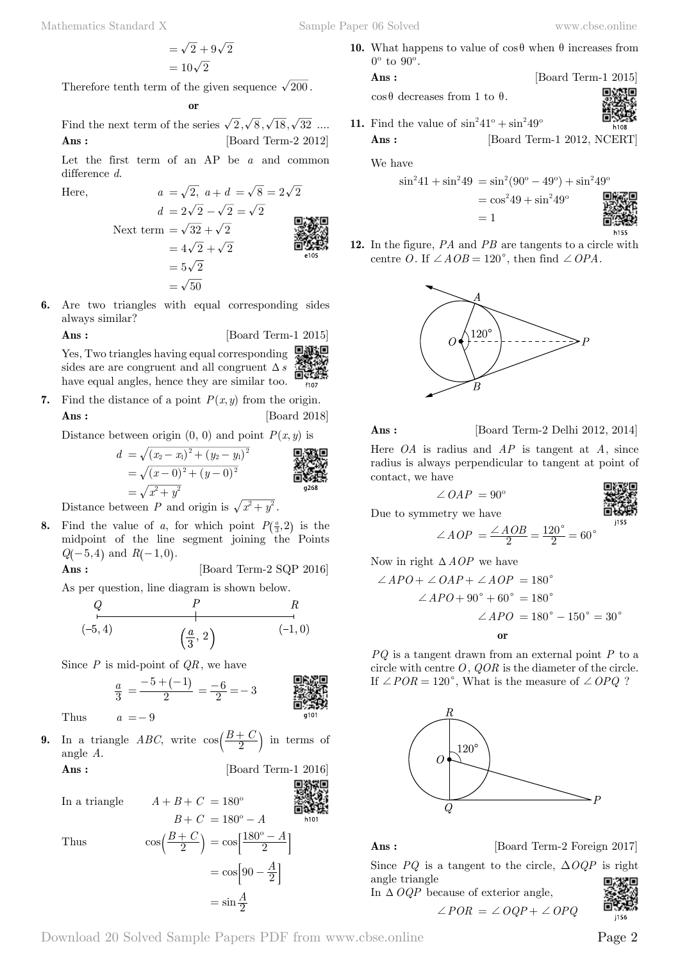$$
= \sqrt{2} + 9\sqrt{2}
$$

$$
= 10\sqrt{2}
$$

Therefore tenth term of the given sequence  $\sqrt{200}$ .

 **o**

Find the next term of the series  $\sqrt{2}$ ,  $\sqrt{8}$ ,  $\sqrt{18}$ ,  $\sqrt{32}$  .... **Ans :** [Board Term-2 2012]

Let the first term of an AP be *a* and common difference *d*.

Here,  
\n
$$
a = \sqrt{2}, a + d = \sqrt{8} = 2\sqrt{2}
$$
\n
$$
d = 2\sqrt{2} - \sqrt{2} = \sqrt{2}
$$
\nNext term =  $\sqrt{32} + \sqrt{2}$   
\n
$$
= 4\sqrt{2} + \sqrt{2}
$$
\n
$$
= 5\sqrt{2}
$$
\n
$$
= \sqrt{50}
$$

**6.** Are two triangles with equal corresponding sides always similar?

**Ans :** [Board Term-1 2015]

Yes, Two triangles having equal corresponding sides are are congruent and all congruent  $\Delta s$ have equal angles, hence they are similar too.

**7.** Find the distance of a point  $P(x, y)$  from the origin. **Ans :** [Board 2018]

Distance between origin  $(0, 0)$  and point  $P(x, y)$  is

$$
d = \sqrt{(x_2 - x_1)^2 + (y_2 - y_1)^2}
$$
  
=  $\sqrt{(x - 0)^2 + (y - 0)^2}$   
=  $\sqrt{x^2 + y^2}$ 

Distance between *P* and origin is  $\sqrt{x^2 + y^2}$ .

**8.** Find the value of *a*, for which point  $P(\frac{a}{3}, 2)$  is the midpoint of the line segment joining the Points  $Q(-5, 4)$  and  $R(-1, 0)$ .

$$
Ans: \qquad \qquad [\text{Board Term-2 SQP 2016}]
$$

As per question, line diagram is shown below.

Since *P* is mid-point of *QR*, we have

$$
\frac{a}{3} = \frac{-5 + (-1)}{2} = \frac{-6}{2} = -3
$$

 $B + C = 180^\circ - A$ 

Thus  $a = -9$ 

**9.** In a triangle *ABC*, write  $cos\left(\frac{B+C}{2}\right)$  in terms of angle *A*.

**Ans :** [Board Term-1 2016]

h<sub>101</sub>

In a triangle 
$$
A + B + C = 180^{\circ}
$$

Thus 
$$
\cos\left(\frac{B+C}{2}\right) = \cos\left[\frac{180^{\circ} - A}{2}\right]
$$

$$
= \cos\left[90 - \frac{A}{2}\right]
$$

$$
= \sin\frac{A}{2}
$$

**10.** What happens to value of  $\cos \theta$  when  $\theta$  increases from  $0^{\circ}$  to  $90^{\circ}$ .

$$
Ans : \qquad \qquad [\text{Board Term-1 2015}]
$$

 $\cos \theta$  decreases from 1 to θ.

**11.** Find the value of  $\sin^2 41^\circ + \sin^2 49^\circ$ **Ans :** [Board Term-1 2012, NCERT]

We have

$$
\sin^2 41 + \sin^2 49 = \sin^2 (90^\circ - 49^\circ) + \sin^2 49^\circ
$$
  
=  $\cos^2 49 + \sin^2 49^\circ$   
= 1



**12.** In the figure, *PA* and *PB* are tangents to a circle with centre *O*. If  $\angle AOB = 120^{\circ}$ , then find  $\angle OPA$ .



 **Ans :** [Board Term-2 Delhi 2012, 2014]

Here *OA* is radius and *AP* is tangent at *A*, since radius is always perpendicular to tangent at point of contact, we have

$$
\angle OAP = 90^{\circ}
$$

Due to symmetry we have

$$
\angle AOP = \frac{\angle AOB}{2} = \frac{120^{\circ}}{2} = 60^{\circ}
$$

Now in right  $\triangle AOP$  we have

$$
\angle APO + \angle OAP + \angle AOP = 180^{\circ}
$$
  
\n
$$
\angle APO + 90^{\circ} + 60^{\circ} = 180^{\circ}
$$
  
\n
$$
\angle APO = 180^{\circ} - 150^{\circ} = 30^{\circ}
$$
  
\nor

*PQ* is a tangent drawn from an external point *P* to a circle with centre *O*, *QOR* is the diameter of the circle. If  $\angle POR = 120^{\circ}$ , What is the measure of  $\angle OPQ$  ?



**Ans :** [Board Term-2 Foreign 2017]

Since *PQ* is a tangent to the circle,  $\Delta OQP$  is right angle triangle

In  $\triangle OQP$  because of exterior angle,  $\angle POR = \angle OQP + \angle OPQ$ 

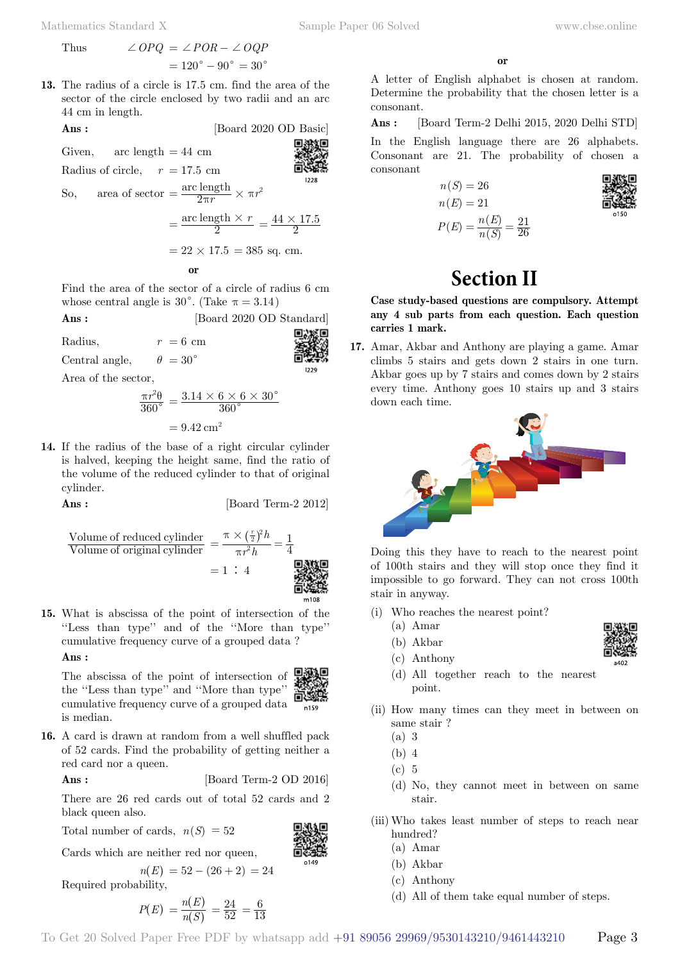Thus  $\angle OPQ = \angle POR - \angle OQP$  $= 120^{\circ} - 90^{\circ} = 30^{\circ}$ 

**13.** The radius of a circle is 17.5 cm. find the area of the sector of the circle enclosed by two radii and an arc 44 cm in length.

**Ans :** [Board 2020 OD Basic]

Given, arc length  $= 44$  cm Radius of circle,  $r = 17.5$  cm So, area of sector  $=$   $\frac{\text{arc length}}{2\pi r} \times \pi r^2$  $=\frac{\text{arc length}\times r}{2}=\frac{44\times17.5}{2}$  $= 22 \times 17.5 = 385$  sq. cm.  **o**

Find the area of the sector of a circle of radius 6 cm whose central angle is 30 $^{\circ}$ . (Take  $\pi = 3.14$ )

| Ans :               | [Board 2020 OD Standard] |
|---------------------|--------------------------|
| Radius,             | $r = 6$ cm               |
| Central angle,      | $\theta = 30^{\circ}$    |
| Area of the sector, | $\theta = 30^{\circ}$    |

$$
\frac{\pi r^2 \theta}{360^\circ} = \frac{3.14 \times 6 \times 6 \times 30^\circ}{360^\circ}
$$

$$
= 9.42 \text{ cm}^2
$$

**14.** If the radius of the base of a right circular cylinder is halved, keeping the height same, find the ratio of the volume of the reduced cylinder to that of original cylinder.

**Ans :** [Board Term-2 2012]

Volume of reduced cylinder  
\nVolume of original cylinder 
$$
=
$$
  $\frac{\pi \times (\frac{r}{2})^2 h}{\pi r^2 h} = \frac{1}{4}$   
\n $= 1 \therefore 4$ 

**15.** What is abscissa of the point of intersection of the ''Less than type'' and of the ''More than type'' cumulative frequency curve of a grouped data ?

#### **Ans :**

The abscissa of the point of intersection of the ''Less than type'' and ''More than type'' 回游 cumulative frequency curve of a grouped data is median.

**16.** A card is drawn at random from a well shuffled pack of 52 cards. Find the probability of getting neither a red card nor a queen.

**Ans :** [Board Term-2 OD 2016]

There are 26 red cards out of total 52 cards and 2 black queen also.

Total number of cards,  $n(S) = 52$ 

Required probability,

$$
\begin{matrix}\n\frac{1}{2} & \frac{1}{2} \\
\frac{1}{2} & \frac{1}{2} \\
\frac{1}{2} & \frac{1}{2}\n\end{matrix}
$$

Cards which are neither red nor queen,

$$
n(E) = 52 - (26 + 2) = 24
$$

$$
P(E) = \frac{n(E)}{n(S)} = \frac{24}{52} = \frac{6}{13}
$$

A letter of English alphabet is chosen at random. Determine the probability that the chosen letter is a consonant.

 **Ans :** [Board Term-2 Delhi 2015, 2020 Delhi STD]

In the English language there are 26 alphabets. Consonant are 21. The probability of chosen a consonant

$$
n(S) = 26
$$
  
\n
$$
n(E) = 21
$$
  
\n
$$
P(E) = \frac{n(E)}{n(S)} = \frac{21}{26}
$$



# **Section II**

**Case study-based questions are compulsory. Attempt any 4 sub parts from each question. Each question carries 1 mark.**

**17.** Amar, Akbar and Anthony are playing a game. Amar climbs 5 stairs and gets down 2 stairs in one turn. Akbar goes up by 7 stairs and comes down by 2 stairs every time. Anthony goes 10 stairs up and 3 stairs down each time.



Doing this they have to reach to the nearest point of 100th stairs and they will stop once they find it impossible to go forward. They can not cross 100th stair in anyway.

- (i) Who reaches the nearest point?
	- (a) Amar
	- (b) Akbar
	- (c) Anthony



- (d) All together reach to the nearest point.
- (ii) How many times can they meet in between on same stair ?
	- (a) 3
	- (b) 4
	- $(c)$  5
	- (d) No, they cannot meet in between on same stair.
- (iii) Who takes least number of steps to reach near hundred?
	- (a) Amar
	- (b) Akbar
	- (c) Anthony
	- (d) All of them take equal number of steps.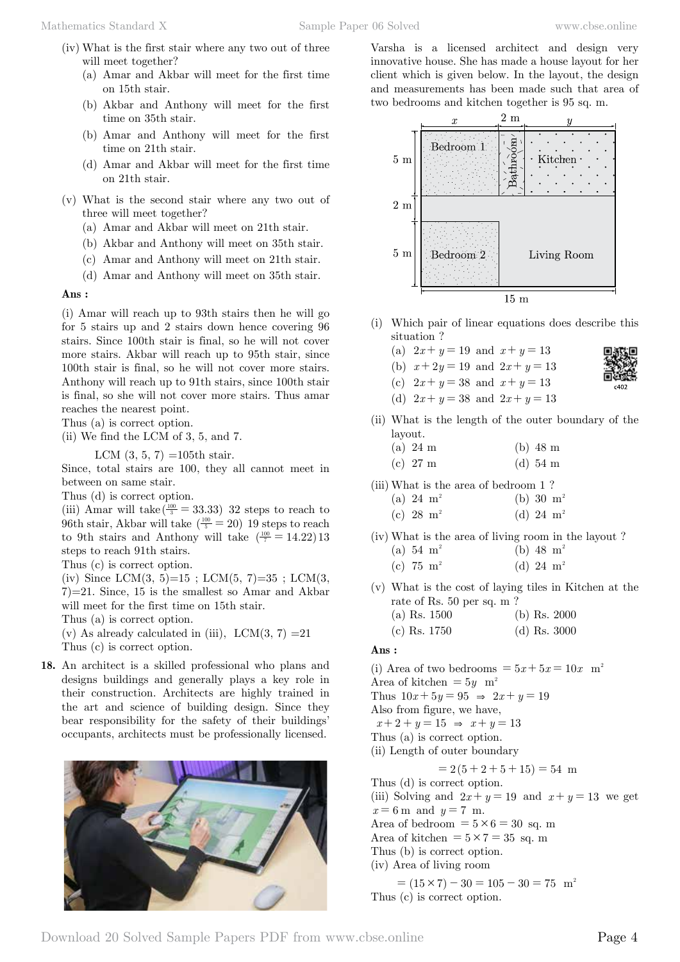- (iv) What is the first stair where any two out of three will meet together?
	- (a) Amar and Akbar will meet for the first time on 15th stair.
	- (b) Akbar and Anthony will meet for the first time on 35th stair.
	- (b) Amar and Anthony will meet for the first time on 21th stair.
	- (d) Amar and Akbar will meet for the first time on 21th stair.
- (v) What is the second stair where any two out of three will meet together?
	- (a) Amar and Akbar will meet on 21th stair.
	- (b) Akbar and Anthony will meet on 35th stair.
	- (c) Amar and Anthony will meet on 21th stair.
	- (d) Amar and Anthony will meet on 35th stair.

#### **Ans :**

(i) Amar will reach up to 93th stairs then he will go for 5 stairs up and 2 stairs down hence covering 96 stairs. Since 100th stair is final, so he will not cover more stairs. Akbar will reach up to 95th stair, since 100th stair is final, so he will not cover more stairs. Anthony will reach up to 91th stairs, since 100th stair is final, so she will not cover more stairs. Thus amar reaches the nearest point.

Thus (a) is correct option.

(ii) We find the LCM of 3, 5, and 7.

LCM  $(3, 5, 7) = 105$ th stair.

Since, total stairs are 100, they all cannot meet in between on same stair.

Thus (d) is correct option.

(iii) Amar will take  $(\frac{100}{3} = 33.33)$  32 steps to reach to 96th stair, Akbar will take  $\left(\frac{100}{5} = 20\right)$  19 steps to reach to 9th stairs and Anthony will take  $(\frac{100}{7} = 14.22)$  13 steps to reach 91th stairs.

Thus (c) is correct option.

(iv) Since LCM $(3, 5)=15$ ; LCM $(5, 7)=35$ ; LCM $(3, 5)=15$ 7)=21. Since, 15 is the smallest so Amar and Akbar will meet for the first time on 15th stair.

Thus (a) is correct option.

(v) As already calculated in (iii),  $LCM(3, 7) = 21$ Thus (c) is correct option.

**18.** An architect is a skilled professional who plans and designs buildings and generally plays a key role in their construction. Architects are highly trained in the art and science of building design. Since they bear responsibility for the safety of their buildings' occupants, architects must be professionally licensed.



Varsha is a licensed architect and design very innovative house. She has made a house layout for her client which is given below. In the layout, the design and measurements has been made such that area of two bedrooms and kitchen together is 95 sq. m.



- (i) Which pair of linear equations does describe this situation ?
	- (a)  $2x + y = 19$  and  $x + y = 13$
	- (b)  $x + 2y = 19$  and  $2x + y = 13$
	- (c)  $2x + y = 38$  and  $x + y = 13$

(d) 
$$
2x + y = 38
$$
 and  $2x + y = 13$ 

- (ii) What is the length of the outer boundary of the layout.
	- (a) 24 m (b) 48 m
	- (c) 27 m (d) 54 m
- (iii) What is the area of bedroom 1 ?
	- (a)  $24 \text{ m}^2$  (b)  $30 \text{ m}^2$ (c)  $28 \text{ m}^2$  (d)  $24 \text{ m}^2$
- (iv) What is the area of living room in the layout ? (a)  $54 \text{ m}^2$  (b)  $48 \text{ m}^2$ 
	- (c) 75  $m^2$  (d) 24  $m^2$
- (v) What is the cost of laying tiles in Kitchen at the rate of Rs. 50 per sq. m ? (a) Rs. 1500 (b) Rs. 2000
	- (c) Rs. 1750 (d) Rs. 3000

#### **Ans :**

(i) Area of two bedrooms  $= 5x + 5x = 10x$  m<sup>2</sup> Area of kitchen  $= 5y$  m<sup>2</sup> Thus  $10x + 5y = 95 \Rightarrow 2x + y = 19$ Also from figure, we have,  $x + 2 + y = 15 \Rightarrow x + y = 13$ Thus (a) is correct option. (ii) Length of outer boundary  $= 2(5 + 2 + 5 + 15) = 54$  m Thus (d) is correct option. (iii) Solving and  $2x + y = 19$  and  $x + y = 13$  we get  $x = 6$  m and  $y = 7$  m. Area of bedroom  $= 5 \times 6 = 30$  sq. m Area of kitchen  $= 5 \times 7 = 35$  sq. m

Thus (b) is correct option.

(iv) Area of living room

$$
= (15 \times 7) - 30 = 105 - 30 = 75
$$
 m<sup>2</sup>  
Thus (c) is correct option.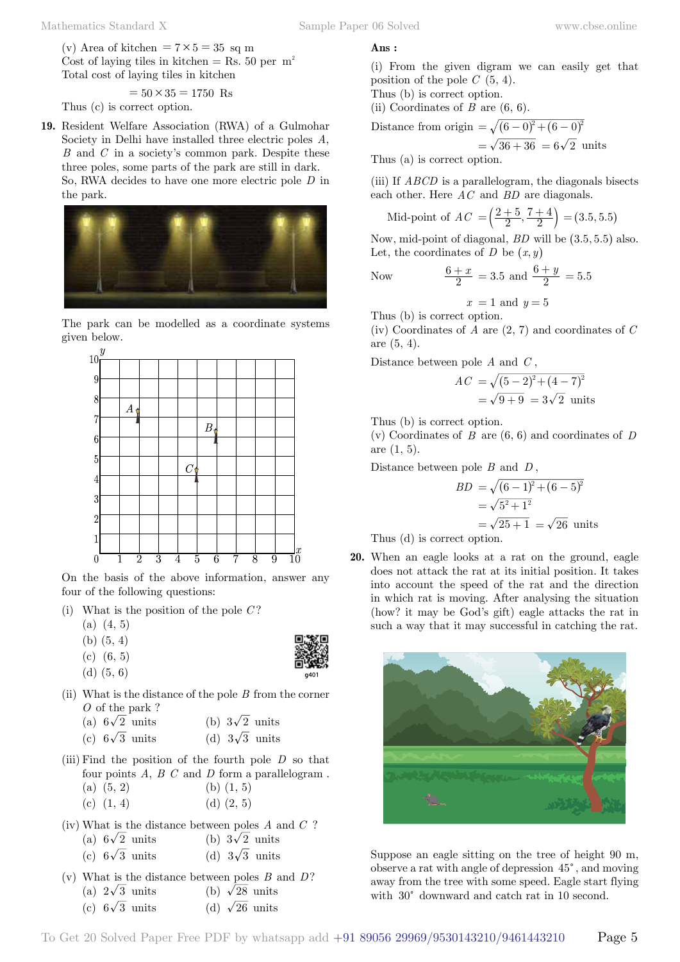(v) Area of kitchen  $= 7 \times 5 = 35$  sq m Cost of laying tiles in kitchen = Rs. 50 per  $m^2$ Total cost of laying tiles in kitchen

$$
= 50 \times 35 = 1750
$$
 Rs

Thus (c) is correct option.

**19.** Resident Welfare Association (RWA) of a Gulmohar Society in Delhi have installed three electric poles *A*, *B* and *C* in a society's common park. Despite these three poles, some parts of the park are still in dark. So, RWA decides to have one more electric pole *D* in the park.



The park can be modelled as a coordinate systems given below.



On the basis of the above information, answer any four of the following questions:

- (i) What is the position of the pole *C* ?
	- $(a)$   $(4, 5)$
	- (b) (5, 4)
	- (c) (6, 5)
	- (d) (5, 6)
- (ii) What is the distance of the pole *B* from the corner *O* of the park ?

|  |  | (a) $6\sqrt{2}$ units |  |  | (b) $3\sqrt{2}$ units |
|--|--|-----------------------|--|--|-----------------------|
|  |  |                       |  |  |                       |

- (c)  $6\sqrt{3}$  units (d)  $3\sqrt{3}$  units
- (iii) Find the position of the fourth pole *D* so that four points *A*, *B C* and *D* form a parallelogram .
	- (a)  $(5, 2)$  (b)  $(1, 5)$
	- (c)  $(1, 4)$  (d)  $(2, 5)$
- (iv) What is the distance between poles *A* and *C* ? (a)  $6\sqrt{2}$  units (b)  $3\sqrt{2}$  units

| $\sim$ |                       |  |                       |  |
|--------|-----------------------|--|-----------------------|--|
|        | (c) $6\sqrt{3}$ units |  | (d) $3\sqrt{3}$ units |  |

- (v) What is the distance between poles *B* and *D*? (a)  $2\sqrt{3}$  units (b)  $\sqrt{28}$  units
	- (c)  $6\sqrt{3}$  units (d)  $\sqrt{26}$  units

### **Ans :**

(i) From the given digram we can easily get that position of the pole *C* (5, 4).

Thus (b) is correct option.

(ii) Coordinates of  $B$  are  $(6, 6)$ .

Distance from origin =  $\sqrt{(6 - 0)^2 + (6 - 0)^2}$  $=\sqrt{36 + 36} = 6\sqrt{2}$  units

Thus (a) is correct option.

(iii) If *ABCD* is a parallelogram, the diagonals bisects each other. Here *AC* and *BD* are diagonals.

Mid-point of 
$$
AC = \left(\frac{2+5}{2}, \frac{7+4}{2}\right) = (3.5, 5.5)
$$

Now, mid-point of diagonal, *BD* will be  $(3.5, 5.5)$  also. Let, the coordinates of *D* be  $(x, y)$ 

Now 
$$
\frac{6+x}{2} = 3.5
$$
 and  $\frac{6+y}{2} = 5.5$ 

$$
x = 1 \text{ and } y = 5
$$

Thus (b) is correct option.

(iv) Coordinates of *A* are (2, 7) and coordinates of *C* are (5, 4).

Distance between pole *A* and *C* ,

$$
AC = \sqrt{(5-2)^2 + (4-7)^2}
$$
  
=  $\sqrt{9+9} = 3\sqrt{2}$  units

Thus (b) is correct option.

(v) Coordinates of *B* are (6, 6) and coordinates of *D* are (1, 5).

Distance between pole *B* and *D* ,

$$
BD = \sqrt{(6-1)^2 + (6-5)^2}
$$
  
=  $\sqrt{5^2 + 1^2}$   
=  $\sqrt{25 + 1} = \sqrt{26}$  units

Thus (d) is correct option.

**20.** When an eagle looks at a rat on the ground, eagle does not attack the rat at its initial position. It takes into account the speed of the rat and the direction in which rat is moving. After analysing the situation (how? it may be God's gift) eagle attacks the rat in such a way that it may successful in catching the rat.



Suppose an eagle sitting on the tree of height 90 m, observe a rat with angle of depression  $45^{\circ}$ , and moving away from the tree with some speed. Eagle start flying with  $30^{\circ}$  downward and catch rat in 10 second.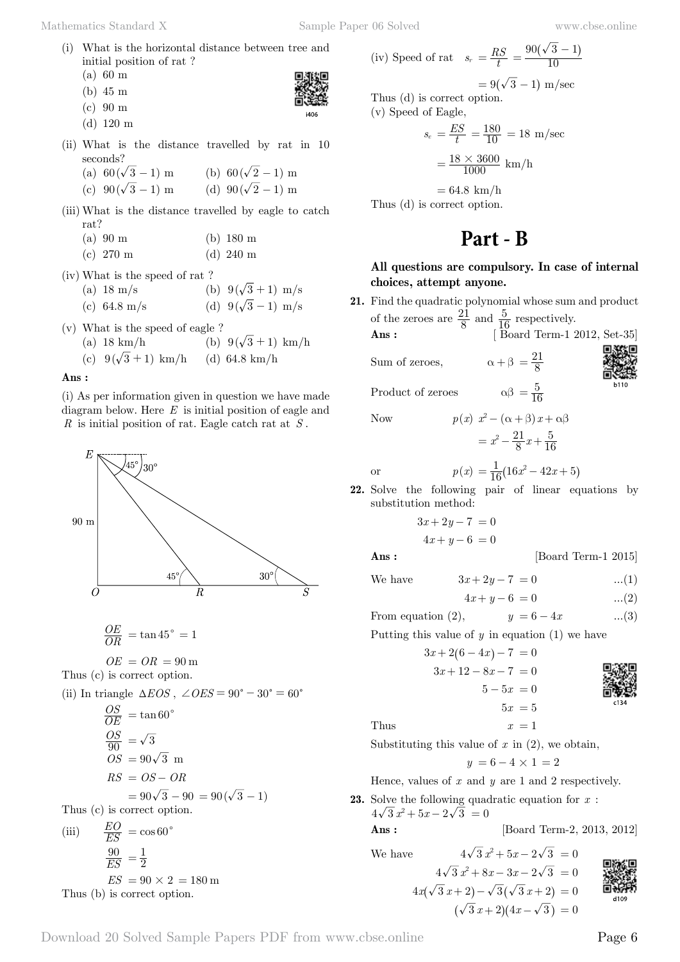$(iv)$  *S* 

- (i) What is the horizontal distance between tree and initial position of rat ?
	- (a) 60 m
	- (b) 45 m
	- (c) 90 m
	- (d) 120 m
- (ii) What is the distance travelled by rat in 10 seconds?
	- (a)  $60(\sqrt{3} 1)$  m (b)  $60(\sqrt{2} 1)$  m
	- (c)  $90(\sqrt{3} 1)$  m (d)  $90(\sqrt{2} 1)$  m
- (iii) What is the distance travelled by eagle to catch rat?
	- (a) 90 m (b) 180 m
	- (c) 270 m (d) 240 m
- (iv) What is the speed of rat ?
	- (a) 18 m/s (b)  $9(\sqrt{3} + 1)$  m/s (c) 64.8 m/s (d)  $9(\sqrt{3} - 1)$  m/s
	-
- (v) What is the speed of eagle ?
	- (a) 18 km/h (b)  $9(\sqrt{3} + 1)$  km/h
	- (c)  $9(\sqrt{3} + 1)$  km/h (d) 64.8 km/h

#### **Ans :**

(i) As per information given in question we have made diagram below. Here *E* is initial position of eagle and *R* is initial position of rat. Eagle catch rat at *S* .



$$
\frac{OE}{OR} = \tan 45^{\circ} = 1
$$

 $OE = OR = 90 \,\mathrm{m}$ Thus (c) is correct option.

(ii) In triangle  $\triangle EOS$ ,  $\angle OES = 90^{\circ} - 30^{\circ} = 60^{\circ}$ 

$$
\frac{OS}{OE} = \tan 60^{\circ}
$$
  
\n
$$
\frac{OS}{90} = \sqrt{3}
$$
  
\n
$$
OS = 90\sqrt{3} \text{ m}
$$
  
\n
$$
RS = OS - OR
$$
  
\n
$$
= 90\sqrt{3} - 90 = 90(\sqrt{3} - 1)
$$
  
\nThus (c) is correct option.  
\n(iii) 
$$
\frac{EO}{ES} = \cos 60^{\circ}
$$

*ES* 90  $=\frac{1}{2}$  $ES = 90 \times 2 = 180$  m

Thus (b) is correct option.

Thus  $(iii)$ 

peed of rat 
$$
s_r = \frac{RS}{t} = \frac{90(\sqrt{3} - 1)}{10}
$$

$$
=9(\sqrt{3}-1) \text{ m/sec}
$$

Thus (d) is correct option. (v) Speed of Eagle,

$$
s_e = \frac{ES}{t} = \frac{180}{10} = 18 \text{ m/sec}
$$

$$
= \frac{18 \times 3600}{1000} \text{ km/h}
$$

 $= 64.8 \text{ km/h}$ Thus (d) is correct option.

### **Part - B**

#### **All questions are compulsory. In case of internal choices, attempt anyone.**

**21.** Find the quadratic polynomial whose sum and product of the zeroes are  $\frac{21}{8}$  and  $\frac{5}{16}$  respectively.

**Ans :** [ Board Term-1 2012, Set-35]

Sum of zeroes,  $\alpha + \beta = \frac{21}{8}$ 

Product of zeroes

Now 
$$
p(x) x^{2} - (\alpha + \beta) x + \alpha \beta
$$
  
=  $x^{2} - \frac{21}{8}x + \frac{5}{16}$ 

 $\alpha\beta = \frac{5}{16}$ 

or 
$$
p(x) = \frac{1}{16}(16x^2 - 42x + 5)
$$

**22.** Solve the following pair of linear equations by substitution method:

$$
3x + 2y - 7 = 0
$$

$$
4x + y - 6 = 0
$$

**Ans :** [Board Term-1 2015]

We have  $3x + 2y - 7 = 0$  ...(1)  $4x + y - 6 = 0$  ...(2)

From equation (2),  $y = 6 - 4x$  ...(3)

Putting this value of *y* in equation (1) we have

$$
3x + 2(6 - 4x) - 7 = 0
$$

$$
3x + 12 - 8x - 7 = 0
$$

$$
5 - 5x = 0
$$

$$
5x = 5
$$

$$
\begin{array}{c}\n\begin{array}{c}\n\begin{array}{c}\n\begin{array}{c}\n\begin{array}{c}\n\begin{array}{c}\n\begin{array}{c}\n\begin{array}{c}\n\end{array}\n\end{array}\n\end{array}\n\end{array}\n\end{array}\n\end{array}
$$

Thus  $x = 1$ 

Substituting this value of  $x$  in  $(2)$ , we obtain,

$$
y = 6 - 4 \times 1 = 2
$$

Hence, values of *x* and *y* are 1 and 2 respectively.

**23.** Solve the following quadratic equation for *x* :  $4\sqrt{3}x^2+5x-2\sqrt{3}=0$ 

**Ans :** [Board Term-2, 2013, 2012]

We have  
\n
$$
4\sqrt{3}x^{2} + 5x - 2\sqrt{3} = 0
$$
\n
$$
4\sqrt{3}x^{2} + 8x - 3x - 2\sqrt{3} = 0
$$
\n
$$
4x(\sqrt{3}x + 2) - \sqrt{3}(\sqrt{3}x + 2) = 0
$$
\n
$$
(\sqrt{3}x + 2)(4x - \sqrt{3}) = 0
$$

$$
\square
$$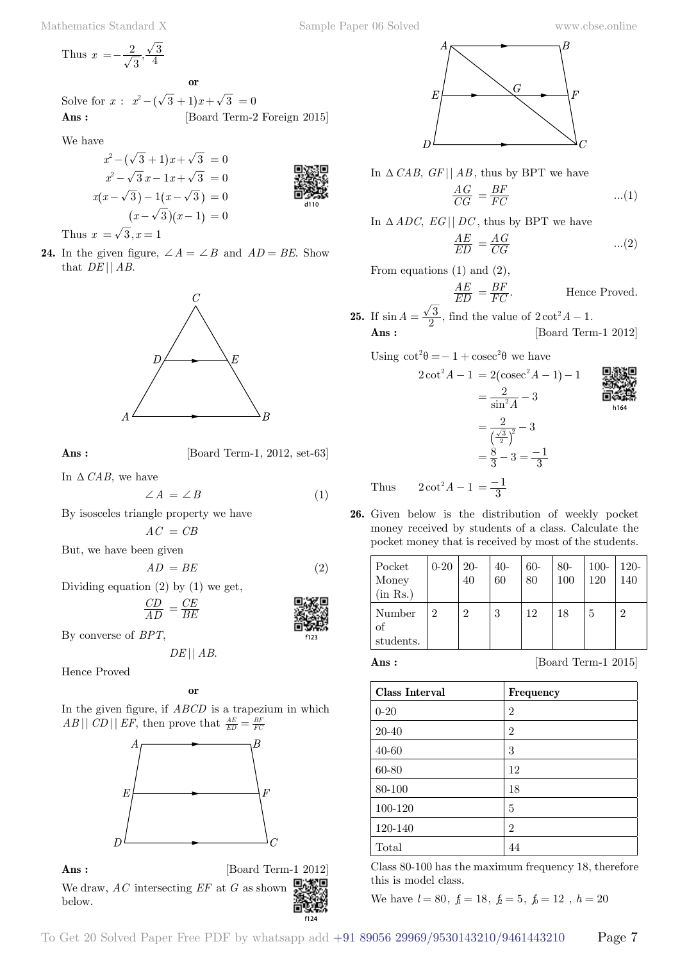Thus 
$$
x = -\frac{2}{\sqrt{3}}, \frac{\sqrt{3}}{4}
$$

Solve for  $x : x^2 - (\sqrt{3} + 1)x + \sqrt{3} = 0$ **Ans :** [Board Term-2 Foreign 2015]

 **o**

We have

$$
x^{2} - (\sqrt{3} + 1)x + \sqrt{3} = 0
$$
  
\n
$$
x^{2} - \sqrt{3}x - 1x + \sqrt{3} = 0
$$
  
\n
$$
x(x - \sqrt{3}) - 1(x - \sqrt{3}) = 0
$$
  
\n
$$
(x - \sqrt{3})(x - 1) = 0
$$

Thus  $x = \sqrt{3}, x = 1$ 

**24.** In the given figure,  $\angle A = \angle B$  and  $AD = BE$ . Show that *DE* || *AB*.



**Ans :** [Board Term-1, 2012, set-63]

In  $\triangle$  *CAB*, we have

$$
\angle A = \angle B \tag{1}
$$

By isosceles triangle property we have

$$
AC = CB
$$

But, we have been given

$$
AD = BE \tag{2}
$$

Dividing equation  $(2)$  by  $(1)$  we get, *CD*

*AD*

By converse of 
$$
BPT
$$
,

$$
DE \mid \mid AB.
$$

 $\frac{CE}{BE}$ 

Hence Proved

 **o**

In the given figure, if *ABCD* is a trapezium in which  $AB \mid CD \mid EF$ , then prove that  $\frac{AE}{ED} = \frac{BF}{FC}$ 



**Ans :** [Board Term-1 2012] We draw, *AC* intersecting *EF* at *G* as shown below.



In  $\Delta$  *CAB*, *GF* || *AB*, thus by BPT we have

$$
\frac{AG}{CG} = \frac{BF}{FC} \qquad ...(1)
$$

In  $\triangle ADC$ , *EG* || *DC*, thus by BPT we have

$$
\frac{AE}{ED} = \frac{AG}{CG} \qquad ...(2)
$$

From equations (1) and (2),

$$
\frac{AE}{ED} = \frac{BF}{FC}.
$$
 Hence Proved.

**25.** If  $\sin A = \frac{\sqrt{3}}{2}$ , find the value of  $2\cot^2 A - 1$ . **Ans :** [Board Term-1 2012]

Using  $\cot^2 \theta = -1 + \csc^2 \theta$  we have

$$
2 \cot^2 A - 1 = 2(\csc^2 A - 1) - 1
$$
  
=  $\frac{2}{\sin^2 A} - 3$   
=  $\frac{2}{(\frac{\sqrt{3}}{2})^2} - 3$   
=  $\frac{8}{3} - 3 = \frac{-1}{3}$   
Thus  $2 \cot^2 A - 1 = \frac{-1}{3}$ 

**26.** Given below is the distribution of weekly pocket money received by students of a class. Calculate the pocket money that is received by most of the students.

| Pocket<br>Money<br>(in Rs.) | $0 - 20$ | $20 -$<br>40 | $40-$<br>60 | $60-$<br>80 | $80-$<br>100 | $100 -$<br>120 | $120 -$<br>140 |
|-----------------------------|----------|--------------|-------------|-------------|--------------|----------------|----------------|
| Number<br>of<br>students.   | 2        | 2            | 3           | 12          | 18           | 5              | $\overline{2}$ |

**Ans :** [Board Term-1 2015]

| Class Interval | Frequency |
|----------------|-----------|
| $0 - 20$       | 2         |
| 20-40          | 2         |
| 40-60          | 3         |
| 60-80          | 12        |
| 80-100         | 18        |
| 100-120        | 5         |
| 120-140        | 2         |
| Total          | 44        |

Class 80-100 has the maximum frequency 18, therefore this is model class.

We have  $l = 80$ ,  $f_1 = 18$ ,  $f_2 = 5$ ,  $f_0 = 12$ ,  $h = 20$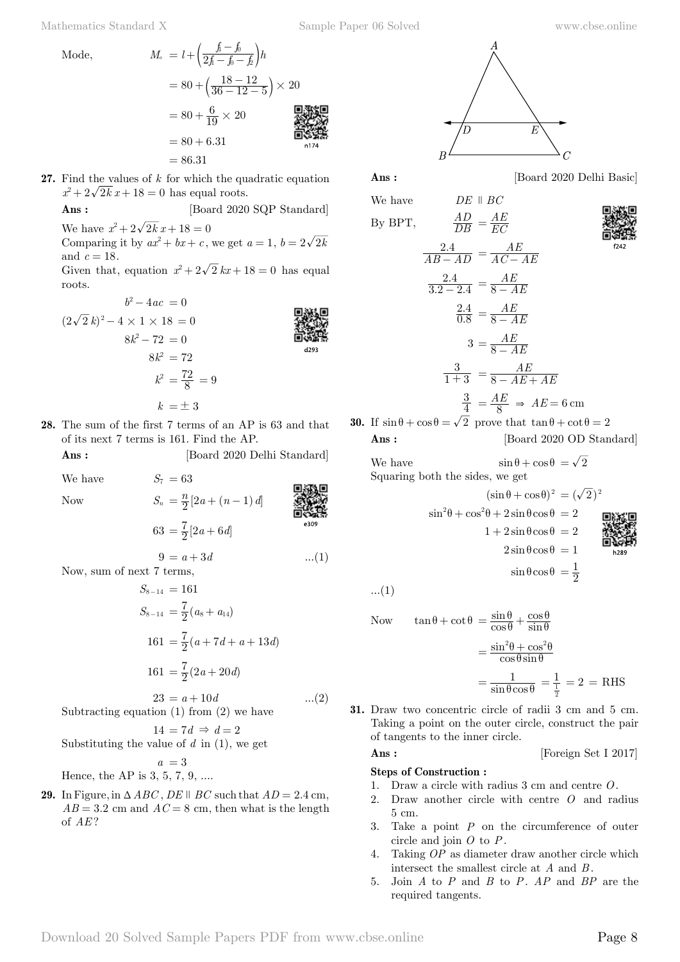Mathematics Standard X Sample Paper 06 Solved [www.cbse.online](http://www.cbse.online) 

Mode,  
\n
$$
M_{o} = l + \left(\frac{f - f_{o}}{2f - f_{o} - f_{p}}\right)h
$$
\n
$$
= 80 + \left(\frac{18 - 12}{36 - 12 - 5}\right) \times 20
$$
\n
$$
= 80 + \frac{6}{19} \times 20
$$
\n
$$
= 80 + 6.31
$$
\n
$$
= 86.31
$$

**27.** Find the values of *k* for which the quadratic equation  $x^2 + 2\sqrt{2k} x + 18 = 0$  has equal roots.

**Ans :** [Board 2020 SQP Standard]

We have  $x^2 + 2\sqrt{2k} x + 18 = 0$ 

Comparing it by  $ax^2 + bx + c$ , we get  $a = 1$ ,  $b = 2\sqrt{2k}$ and  $c = 18$ .

Given that, equation  $x^2 + 2\sqrt{2} kx + 18 = 0$  has equal roots.

$$
b^{2} - 4ac = 0
$$
\n
$$
(2\sqrt{2}k)^{2} - 4 \times 1 \times 18 = 0
$$
\n
$$
8k^{2} - 72 = 0
$$
\n
$$
8k^{2} = 72
$$
\n
$$
k^{2} = \frac{72}{8} = 9
$$
\n
$$
k = \pm 3
$$
\n
$$
k = \pm 3
$$

**28.** The sum of the first 7 terms of an AP is 63 and that of its next 7 terms is 161. Find the AP.

**Ans :** [Board 2020 Delhi Standard]

We have  $S_7 = 63$ 

Now 
$$
S_n = \frac{n}{2} [2a + (n-1)d]
$$
  
\n $63 = \frac{7}{2} [2a + 6d]$ 

 $9 = a + 3d$  ...(1) Now, sum of next 7 terms,

$$
S_{8-14} = 161
$$
  
\n
$$
S_{8-14} = \frac{7}{2}(a_8 + a_{14})
$$
  
\n
$$
161 = \frac{7}{2}(a + 7d + a + 13d)
$$
  
\n
$$
161 = \frac{7}{2}(2a + 20d)
$$
  
\n
$$
23 = a + 10d \qquad ...(2)
$$

Subtracting equation  $(1)$  from  $(2)$  we have

$$
14 = 7d \Rightarrow d = 2
$$

Substituting the value of *d* in (1), we get

$$
a = 3
$$
  
Hence, the AP is 3, 5, 7, 9, ....

**29.** In Figure, in  $\triangle ABC$ ,  $DE \parallel BC$  such that  $AD = 2.4$  cm,  $AB = 3.2$  cm and  $AC = 8$  cm, then what is the length of *AE* ?

$$
\begin{array}{c}\nA \\
\hline\nB\n\end{array}
$$

We have  $DE \parallel BC$ B<sub>v</sub> BPT, *AD*  $=\frac{AE}{EC}$ . *AB AD* 2 4  $\frac{2.4}{-AD} = \frac{AE}{AC - AE}$  $.2 - 2.$ .  $3.2 - 2.4$ 2 4  $-2.4$ <sup>-</sup> $8 - AE$  $=\frac{AE}{8-A}$ . 2 4

$$
\frac{2.4}{0.8} = \frac{AE}{8 - AE}
$$

$$
3 = \frac{AE}{8 - AE}
$$

$$
\frac{3}{1+3} = \frac{AE}{8 - AE + AE}
$$

$$
\frac{3}{4} = \frac{AE}{8} \Rightarrow AE = 6 \text{ cm}
$$

**30.** If  $\sin \theta + \cos \theta = \sqrt{2}$  prove that  $\tan \theta + \cot \theta = 2$ **Ans :** [Board 2020 OD Standard]

We have  $\sin \theta + \cos \theta = \sqrt{2}$ Squaring both the sides, we get

$$
(\sin \theta + \cos \theta)^2 = (\sqrt{2})^2
$$
  
\n
$$
\sin^2 \theta + \cos^2 \theta + 2 \sin \theta \cos \theta = 2
$$
  
\n
$$
1 + 2 \sin \theta \cos \theta = 2
$$
  
\n
$$
2 \sin \theta \cos \theta = 1
$$
  
\n
$$
\sin \theta \cos \theta = \frac{1}{2}
$$

$$
...(1)
$$

Now 
$$
\tan \theta + \cot \theta = \frac{\sin \theta}{\cos \theta} + \frac{\cos \theta}{\sin \theta}
$$
  

$$
= \frac{\sin^2 \theta + \cos^2 \theta}{\cos \theta \sin \theta}
$$

$$
= \frac{1}{\sin \theta \cos \theta} = \frac{1}{\frac{1}{2}} = 2 = \text{RHS}
$$

**31.** Draw two concentric circle of radii 3 cm and 5 cm. Taking a point on the outer circle, construct the pair of tangents to the inner circle.

**Ans :** [Foreign Set I 2017]

#### **Steps of Construction :**

- 1. Draw a circle with radius 3 cm and centre *O*.
- 2. Draw another circle with centre *O* and radius 5 cm.
- 3. Take a point *P* on the circumference of outer circle and join *O* to *P*.
- 4. Taking *OP* as diameter draw another circle which intersect the smallest circle at *A* and *B* .
- 5. Join *A* to *P* and *B* to *P*. *AP* and *BP* are the required tangents.



$$
\cos \theta = \sqrt{2} \text{ prove } \theta
$$
  
\n[**E**  
\n
$$
\sin \theta
$$
  
\n
$$
\sin^2 \theta + \cos^2 \theta + 2 \sin^2 \theta
$$
  
\n
$$
1 + 2 \sin^2 \theta
$$
  
\n
$$
\cos^2 \theta + 2 \sin^2 \theta
$$
  
\n
$$
2 \sin^2 \theta
$$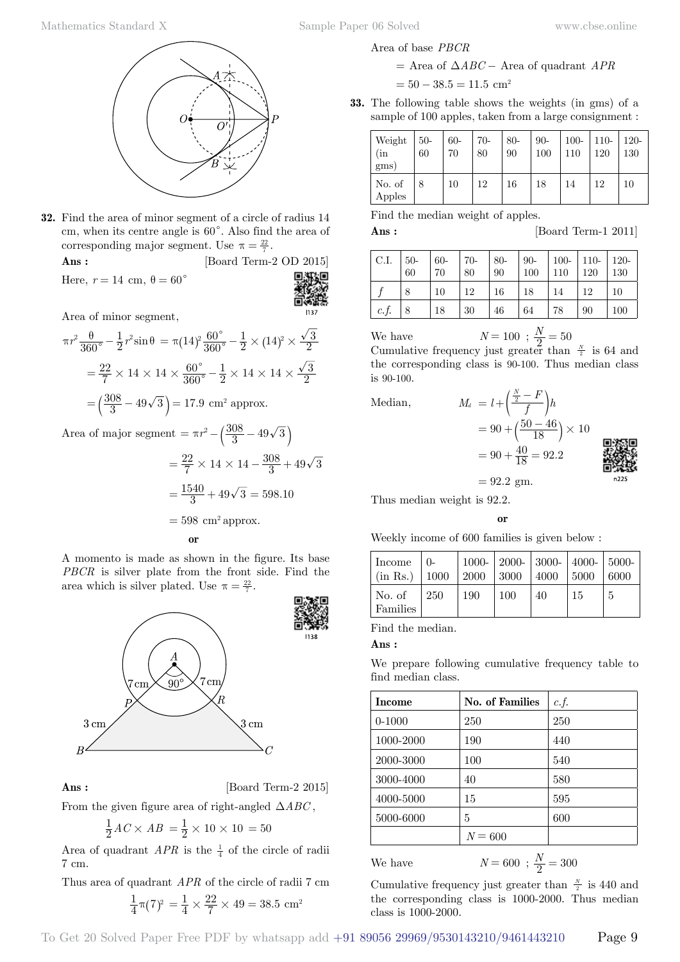

**32.** Find the area of minor segment of a circle of radius 14 cm, when its centre angle is  $60^\circ$ . Also find the area of corresponding major segment. Use  $\pi = \frac{22}{7}$ .

**Ans :** [Board Term-2 OD 2015]

Here,  $r = 14$  cm,  $\theta = 60^\circ$ 

Area of minor segment,

$$
\pi r^2 \frac{\theta}{360^\circ} - \frac{1}{2} r^2 \sin \theta = \pi (14)^2 \frac{60^\circ}{360^\circ} - \frac{1}{2} \times (14)^2 \times \frac{\sqrt{3}}{2}
$$

$$
= \frac{22}{7} \times 14 \times 14 \times \frac{60^\circ}{360^\circ} - \frac{1}{2} \times 14 \times 14 \times \frac{\sqrt{3}}{2}
$$

$$
= \left(\frac{308}{3} - 49\sqrt{3}\right) = 17.9 \text{ cm}^2 \text{ approx.}
$$

Area of major segment  $= \pi r^2 - \left(\frac{308}{3} - 49\sqrt{3}\right)$  $=\frac{22}{7}\times 14\times 14-\frac{308}{3}+49\sqrt{3}$  $=\frac{1540}{3}+49\sqrt{3}=598.10$  $= 598$  cm<sup>2</sup> approx.  **o**

A momento is made as shown in the figure. Its base *PBCR* is silver plate from the front side. Find the area which is silver plated. Use  $\pi = \frac{22}{7}$ .



**Ans :** [Board Term-2 2015]

From the given figure area of right-angled ∆ *ABC* ,

$$
\frac{1}{2}AC \times AB = \frac{1}{2} \times 10 \times 10 = 50
$$

Area of quadrant  $APR$  is the  $\frac{1}{4}$  of the circle of radii 7 cm.

Thus area of quadrant *APR* of the circle of radii 7 cm

$$
\frac{1}{4}\pi(7)^2 = \frac{1}{4} \times \frac{22}{7} \times 49 = 38.5
$$
 cm<sup>2</sup>

#### Area of base *PBCR*

= Area of 
$$
\triangle ABC
$$
 - Area of quadrant *APR*  
= 50 - 38.5 = 11.5 cm<sup>2</sup>

**33.** The following table shows the weights (in gms) of a sample of 100 apples, taken from a large consignment :

| Weight<br>(in<br>$\frac{1}{2}$ gms) | $50-$<br>60 | $60 -$<br>70 | $70-$<br>80 | $80-$<br>90 | $90-$<br>100 | $100 - 110$<br>110 | 120 | $120 -$<br>130 |
|-------------------------------------|-------------|--------------|-------------|-------------|--------------|--------------------|-----|----------------|
| No. of<br>Apples                    |             | 10           | 12          | 16          | 18           | 14                 | 12  | 10             |

Find the median weight of apples.

**Ans :** [Board Term-1 2011]

| $\vert$ C.I. $\vert$ 50- $\vert$ 60- $\vert$ 70- $\vert$ 80- $\vert$ 90- $\vert$ 100- $\vert$ 110- $\vert$ 120- $\vert$ 130 |   |    |    |    |    |            |            | $\frac{130}{ }$ |
|-----------------------------------------------------------------------------------------------------------------------------|---|----|----|----|----|------------|------------|-----------------|
|                                                                                                                             | 8 | 10 | 12 | 16 | 18 | $\vert$ 14 | $\vert$ 12 | 10              |
| c.f.                                                                                                                        |   | 18 | 30 | 46 | 64 | 78         | 90         | 100             |

We have  $N = 100$ ;  $\frac{N}{2} = 50$ <br>Cumulative frequency just greater than  $\frac{N}{2}$  is 64 and the corresponding class is 90-100. Thus median class is 90-100.



Thus median weight is 92.2.

#### **o**

Weekly income of 600 families is given below :

| Income $\vert 0$ -<br>$\left(\text{in}\ \text{Rs.}\right)$   1000   2000   3000   4000   5000 |      | 1000-   2000-   3000-   4000-   5000- |     |    |     | 6000           |
|-----------------------------------------------------------------------------------------------|------|---------------------------------------|-----|----|-----|----------------|
| No. of<br>Families                                                                            | -250 | $\pm 190$                             | 100 | 40 | -15 | $\overline{5}$ |

Find the median.

 **Ans :**

We prepare following cumulative frequency table to find median class.

| Income     | No. of Families | c.f. |
|------------|-----------------|------|
| $0 - 1000$ | 250             | 250  |
| 1000-2000  | 190             | 440  |
| 2000-3000  | 100             | 540  |
| 3000-4000  | 40              | 580  |
| 4000-5000  | 15              | 595  |
| 5000-6000  | 5               | 600  |
|            | $N = 600$       |      |

We have 
$$
N = 600
$$
;

Cumulative frequency just greater than  $\frac{N}{2}$  is 440 and the corresponding class is 1000-2000. Thus median class is 1000-2000.

 $\frac{N}{2} = 300$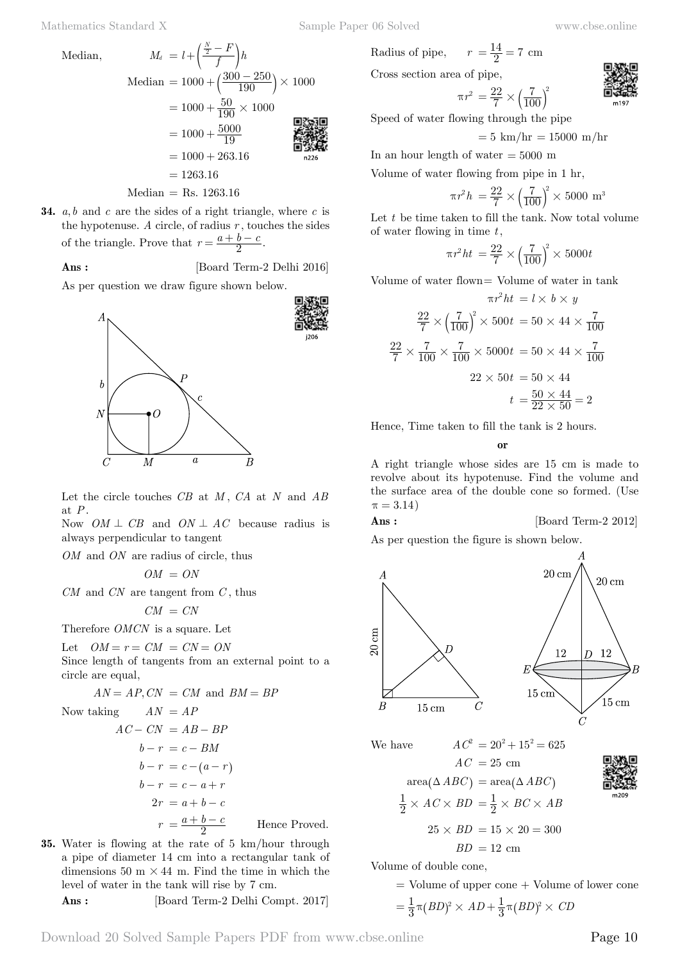Median, *<sup>M</sup><sup>d</sup> <sup>l</sup> <sup>f</sup>*

Median,  
\n
$$
M_{d} = l + \left(\frac{\frac{N}{2} - F}{f}\right)h
$$
\n
$$
\text{Median} = 1000 + \left(\frac{300 - 250}{190}\right) \times 1000
$$
\n
$$
= 1000 + \frac{50}{190} \times 1000
$$
\n
$$
= 1000 + \frac{5000}{19}
$$
\n
$$
= 1000 + 263.16
$$
\n
$$
= 1263.16
$$

 $F \setminus$ 

*N*

 $Median = Rs. 1263.16$ 

**34.**  $a, b$  and  $c$  are the sides of a right triangle, where  $c$  is the hypotenuse.  $A$  circle, of radius  $r$ , touches the sides of the triangle. Prove that  $r = \frac{a+b-c}{2}$ .

**Ans :** [Board Term-2 Delhi 2016]

As per question we draw figure shown below.



Let the circle touches *CB* at *M* , *CA* at *N* and *AB* at *P*.

Now  $OM \perp CB$  and  $ON \perp AC$  because radius is always perpendicular to tangent

*OM* and *ON* are radius of circle, thus

 $OM = ON$ 

*CM* and *CN* are tangent from *C* , thus

$$
CM = CN
$$

Therefore *OMCN* is a square. Let

Let  $OM = r = CM = CN = ON$ 

Since length of tangents from an external point to a circle are equal,

$$
AN = AP, CN = CM \text{ and } BM = BP
$$
  
Now taking 
$$
AN = AP
$$
  

$$
AC - CN = AB - BP
$$
  

$$
b - r = c - BM
$$
  

$$
b - r = c - (a - r)
$$
  

$$
b - r = c - a + r
$$
  

$$
2r = a + b - c
$$
  

$$
r = \frac{a + b - c}{2}
$$
Hence Proved.

**35.** Water is flowing at the rate of 5 km/hour through a pipe of diameter 14 cm into a rectangular tank of dimensions 50 m  $\times$  44 m. Find the time in which the level of water in the tank will rise by 7 cm.

 **Ans :** [Board Term-2 Delhi Compt. 2017]

Radius of pipe,  $r = \frac{14}{2} = 7$  cm

Cross section area of pipe,

$$
\pi r^2 = \frac{22}{7} \times \left(\frac{7}{100}\right)^2
$$

Speed of water flowing through the pipe

 $= 5 \text{ km/hr} = 15000 \text{ m/hr}$ 

In an hour length of water  $= 5000$  m

Volume of water flowing from pipe in 1 hr,

$$
\pi r^2 h = \frac{22}{7} \times \left(\frac{7}{100}\right)^2 \times 5000 \text{ m}^3
$$

Let *t* be time taken to fill the tank. Now total volume of water flowing in time *t*,

$$
\pi r^2 h t = \frac{22}{7} \times \left(\frac{7}{100}\right)^2 \times 5000 t
$$

*n x*  $\frac{1}{2}$   $\frac{1}{2}$   $\frac{1}{2}$ 

Volume of water flown= Volume of water in tank

$$
\pi r^{2}h t = l \times b \times y
$$

$$
\frac{22}{7} \times \left(\frac{7}{100}\right)^{2} \times 500t = 50 \times 44 \times \frac{7}{100}
$$

$$
\frac{22}{7} \times \frac{7}{100} \times \frac{7}{100} \times 5000t = 50 \times 44 \times \frac{7}{100}
$$

$$
22 \times 50t = 50 \times 44
$$

$$
t = \frac{50 \times 44}{22 \times 50} = 2
$$

Hence, Time taken to fill the tank is 2 hours.

 **o**

A right triangle whose sides are 15 cm is made to revolve about its hypotenuse. Find the volume and the surface area of the double cone so formed. (Use  $\pi = 3.14$ )

**Ans :** [Board Term-2 2012]

As per question the figure is shown below.



We have  $AC^2 = 20^2 + 15^2 = 625$  $AC = 25$  cm  $area(\Delta ABC) = area(\Delta ABC)$  $\frac{1}{2} \times AC \times BD = \frac{1}{2} \times BC \times AB$  $25 \times BD = 15 \times 20 = 300$ 

$$
BD = 12 \, \text{cm}
$$

Volume of double cone,

 $=$  Volume of upper cone  $+$  Volume of lower cone

$$
=\frac{1}{3}\pi(BD)^2 \times AD + \frac{1}{3}\pi(BD)^2 \times CD
$$